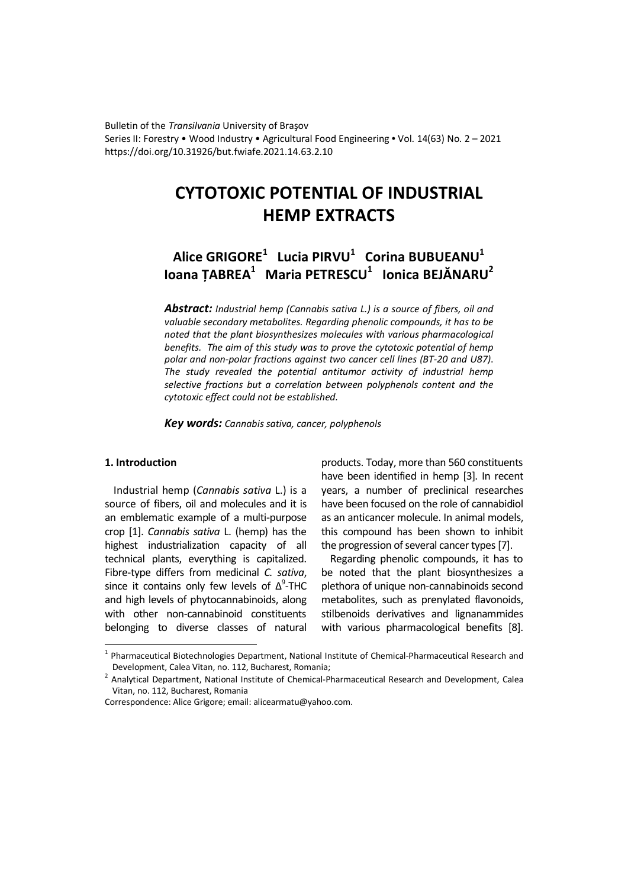Bulletin of the *Transilvania* University of Braşov Series II: Forestry • Wood Industry • Agricultural Food Engineering • Vol. 14(63) No. 2 – 2021 https://doi.org/10.31926/but.fwiafe.2021.14.63.2.10

# **CYTOTOXIC POTENTIAL OF INDUSTRIAL HEMP EXTRACTS**

## **Alice GRIGORE<sup>1</sup> Lucia PIRVU<sup>1</sup> Corina BUBUEANU<sup>1</sup> Ioana ȚABREA<sup>1</sup> Maria PETRESCU<sup>1</sup> Ionica BEJĂNARU<sup>2</sup>**

*Abstract: Industrial hemp (Cannabis sativa L.) is a source of fibers, oil and valuable secondary metabolites. Regarding phenolic compounds, it has to be noted that the plant biosynthesizes molecules with various pharmacological benefits. The aim of this study was to prove the cytotoxic potential of hemp polar and non-polar fractions against two cancer cell lines (BT-20 and U87)*. *The study revealed the potential antitumor activity of industrial hemp selective fractions but a correlation between polyphenols content and the cytotoxic effect could not be established.*

*Key words: Cannabis sativa, cancer, polyphenols*

#### **1. Introduction**

 $\overline{a}$ 

Industrial hemp (*Cannabis sativa* L.) is a source of fibers, oil and molecules and it is an emblematic example of a multi-purpose crop [1]. *Cannabis sativa* L. (hemp) has the highest industrialization capacity of all technical plants, everything is capitalized. Fibre-type differs from medicinal *C. sativa*, since it contains only few levels of  $\Delta^9$ -THC and high levels of phytocannabinoids, along with other non-cannabinoid constituents belonging to diverse classes of natural

products. Today, more than 560 constituents have been identified in hemp [3]. In recent years, a number of preclinical researches have been focused on the role of cannabidiol as an anticancer molecule. In animal models, this compound has been shown to inhibit the progression of several cancer types [7].

Regarding phenolic compounds, it has to be noted that the plant biosynthesizes a plethora of unique non-cannabinoids second metabolites, such as prenylated flavonoids, stilbenoids derivatives and lignanammides with various pharmacological benefits [8].

<sup>&</sup>lt;sup>1</sup> Pharmaceutical Biotechnologies Department, National Institute of Chemical-Pharmaceutical Research and Development, Calea Vitan, no. 112, Bucharest, Romania;

<sup>&</sup>lt;sup>2</sup> Analytical Department, National Institute of Chemical-Pharmaceutical Research and Development, Calea Vitan, no. 112, Bucharest, Romania

Correspondence: Alice Grigore; email: alicearmatu@yahoo.com.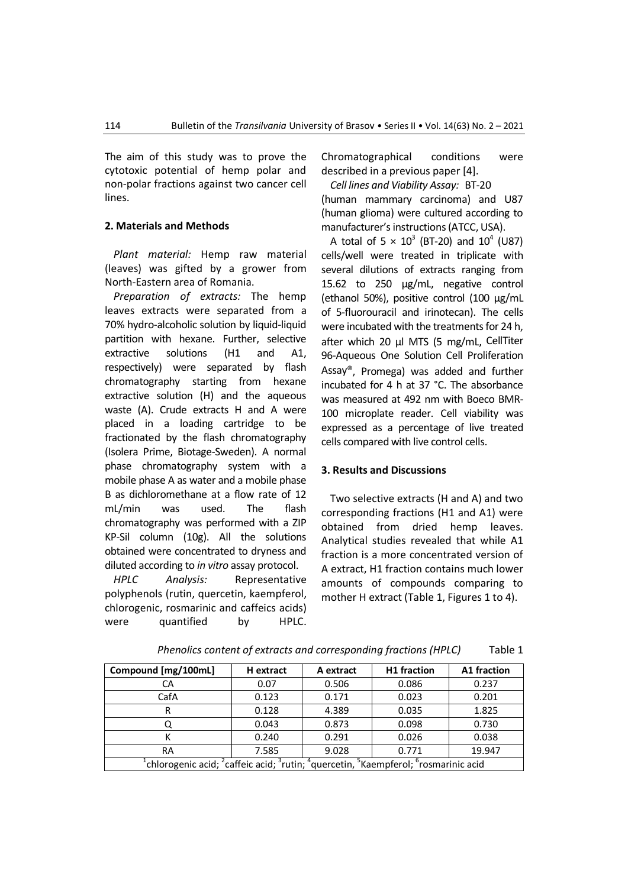The aim of this study was to prove the cytotoxic potential of hemp polar and non-polar fractions against two cancer cell lines.

### **2. Materials and Methods**

*Plant material:* Hemp raw material (leaves) was gifted by a grower from North-Eastern area of Romania.

 *Preparation of extracts:* The hemp leaves extracts were separated from a 70% hydro-alcoholic solution by liquid-liquid partition with hexane. Further, selective extractive solutions (H1 and A1, respectively) were separated by flash chromatography starting from hexane extractive solution (H) and the aqueous waste (A). Crude extracts H and A were placed in a loading cartridge to be fractionated by the flash chromatography (Isolera Prime, Biotage-Sweden). A normal phase chromatography system with a mobile phase A as water and a mobile phase B as dichloromethane at a flow rate of 12 mL/min was used. The flash chromatography was performed with a ZIP KP-Sil column (10g). All the solutions obtained were concentrated to dryness and diluted according to *in vitro* assay protocol.

 *HPLC Analysis:* Representative polyphenols (rutin, quercetin, kaempferol, chlorogenic, rosmarinic and caffeics acids) were quantified by HPLC.

Chromatographical conditions were described in a previous paper [4].

*Cell lines and Viability Assay:* BT-20 (human mammary carcinoma) and U87 (human glioma) were cultured according to manufacturer's instructions (ATCC, USA).

A total of  $5 \times 10^3$  (BT-20) and  $10^4$  (U87) cells/well were treated in triplicate with several dilutions of extracts ranging from 15.62 to 250 μg/mL, negative control (ethanol 50%), positive control (100 μg/mL of 5-fluorouracil and irinotecan). The cells were incubated with the treatments for 24 h, after which 20 μl MTS (5 mg/mL, CellTiter 96-Aqueous One Solution Cell Proliferation Assay®, Promega) was added and further incubated for 4 h at 37 °C. The absorbance was measured at 492 nm with Boeco BMR-100 microplate reader. Cell viability was expressed as a percentage of live treated cells compared with live control cells.

#### **3. Results and Discussions**

Two selective extracts (H and A) and two corresponding fractions (H1 and A1) were obtained from dried hemp leaves. Analytical studies revealed that while A1 fraction is a more concentrated version of A extract, H1 fraction contains much lower amounts of compounds comparing to mother H extract (Table 1, Figures 1 to 4).

| Compound [mg/100mL]                                                                 | H extract | A extract | <b>H1</b> fraction | A1 fraction |
|-------------------------------------------------------------------------------------|-----------|-----------|--------------------|-------------|
| СA                                                                                  | 0.07      | 0.506     | 0.086              | 0.237       |
| CafA                                                                                | 0.123     | 0.171     | 0.023              | 0.201       |
| R                                                                                   | 0.128     | 4.389     | 0.035              | 1.825       |
|                                                                                     | 0.043     | 0.873     | 0.098              | 0.730       |
|                                                                                     | 0.240     | 0.291     | 0.026              | 0.038       |
| RA                                                                                  | 7.585     | 9.028     | 0.771              | 19.947      |
| 'chlorogenic acid; 'caffeic acid; 'rutin; 'quercetin, 'Kaempferol; 'rosmarinic acid |           |           |                    |             |

*Phenolics content of extracts and corresponding fractions (HPLC)* Table 1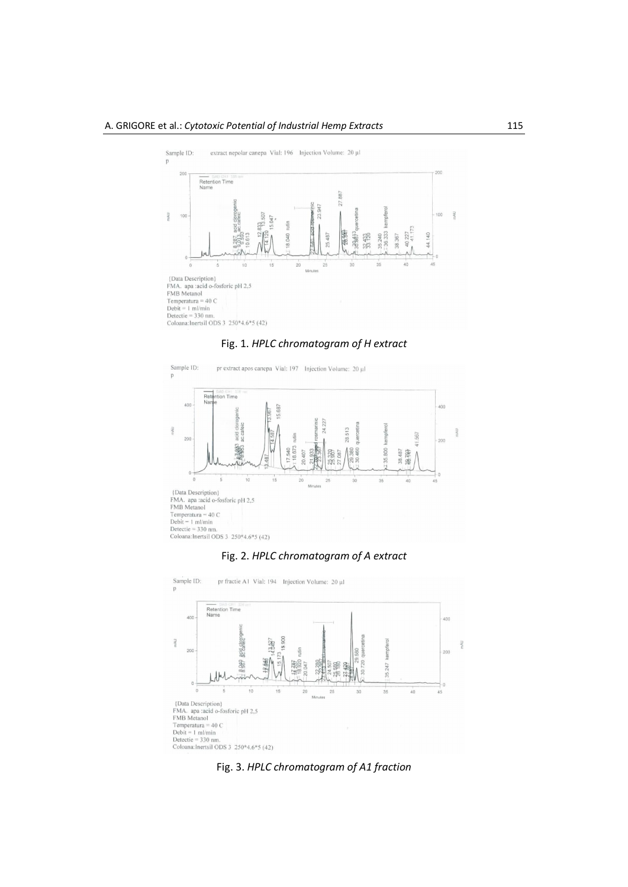

Fig. 1. *HPLC chromatogram of H extract*



Fig. 2. *HPLC chromatogram of A extract* 



Fig. 3. *HPLC chromatogram of A1 fraction*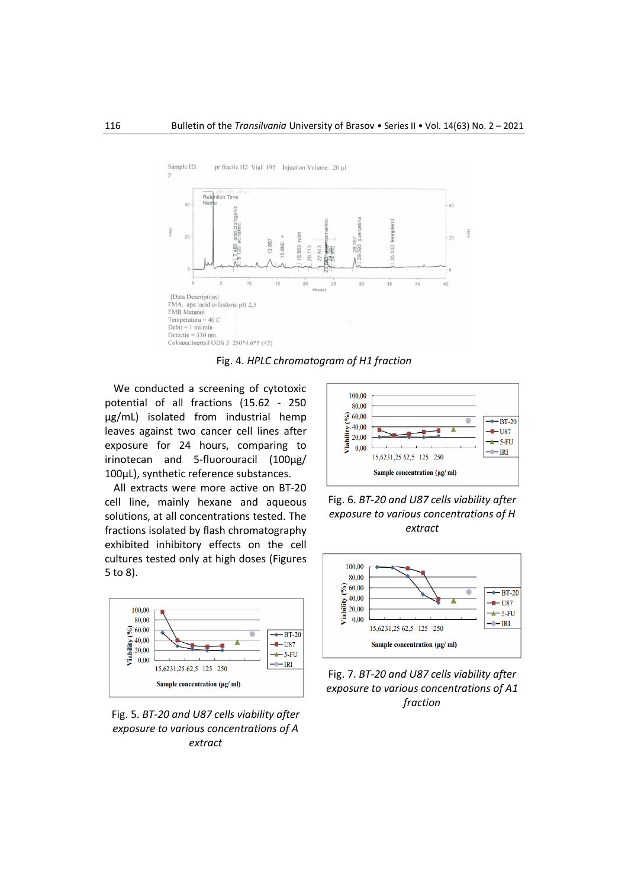



We conducted a screening of cytotoxic potential of all fractions (15.62 - 250 μg/mL) isolated from industrial hemp leaves against two cancer cell lines after exposure for 24 hours, comparing to irinotecan and 5-fluorouracil (100μg/ 100μL), synthetic reference substances.

All extracts were more active on BT-20 cell line, mainly hexane and aqueous solutions, at all concentrations tested. The fractions isolated by flash chromatography exhibited inhibitory effects on the cell cultures tested only at high doses (Figures 5 to 8).



Fig. 5. *BT-20 and U87 cells viability after exposure to various concentrations of A extract* 



Fig. 6. *BT-20 and U87 cells viability after exposure to various concentrations of H extract*



Fig. 7. *BT-20 and U87 cells viability after exposure to various concentrations of A1 fraction*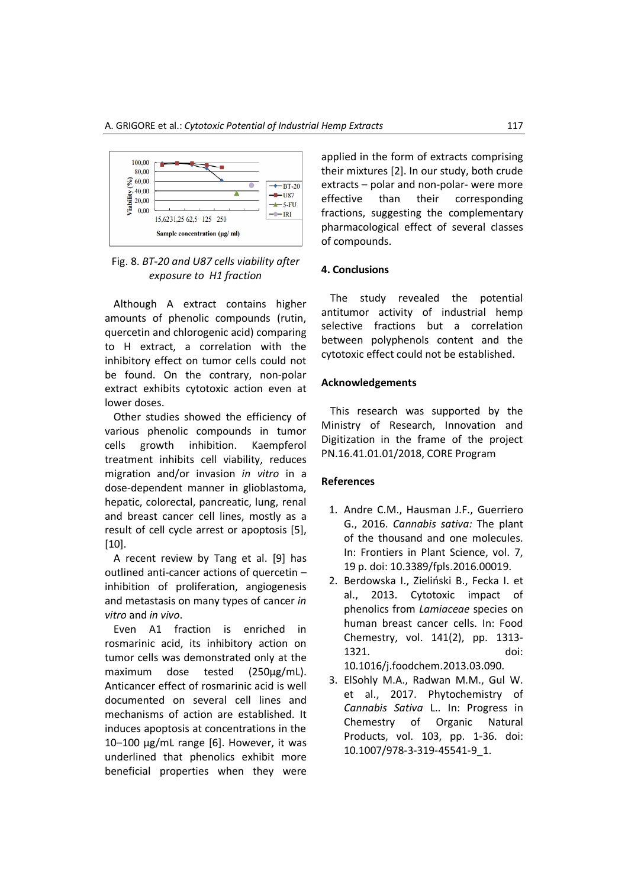

Fig. 8. *BT-20 and U87 cells viability after exposure to H1 fraction*

Although A extract contains higher amounts of phenolic compounds (rutin, quercetin and chlorogenic acid) comparing to H extract, a correlation with the inhibitory effect on tumor cells could not be found. On the contrary, non-polar extract exhibits cytotoxic action even at lower doses.

Other studies showed the efficiency of various phenolic compounds in tumor cells growth inhibition. Kaempferol treatment inhibits cell viability, reduces migration and/or invasion *in vitro* in a dose-dependent manner in glioblastoma, hepatic, colorectal, pancreatic, lung, renal and breast cancer cell lines, mostly as a result of cell cycle arrest or apoptosis [5], [10].

A recent review by Tang et al. [9] has outlined anti-cancer actions of quercetin – inhibition of proliferation, angiogenesis and metastasis on many types of cancer *in vitro* and *in vivo*.

Even A1 fraction is enriched in rosmarinic acid, its inhibitory action on tumor cells was demonstrated only at the maximum dose tested (250µg/mL). Anticancer effect of rosmarinic acid is well documented on several cell lines and mechanisms of action are established. It induces apoptosis at concentrations in the 10–100 µg/mL range [6]. However, it was underlined that phenolics exhibit more beneficial properties when they were

applied in the form of extracts comprising their mixtures [2]. In our study, both crude extracts – polar and non-polar- were more effective than their corresponding fractions, suggesting the complementary pharmacological effect of several classes of compounds.

#### **4. Conclusions**

The study revealed the potential antitumor activity of industrial hemp selective fractions but a correlation between polyphenols content and the cytotoxic effect could not be established.

#### **Acknowledgements**

This research was supported by the Ministry of Research, Innovation and Digitization in the frame of the project PN.16.41.01.01/2018, CORE Program

#### **References**

- 1. Andre C.M., Hausman J.F., Guerriero G., 2016. *Cannabis sativa:* The plant of the thousand and one molecules. In: Frontiers in Plant Science, vol. 7, 19 p. doi: 10.3389/fpls.2016.00019.
- 2. Berdowska I., Zieliński B., Fecka I. et al., 2013. Cytotoxic impact of phenolics from *Lamiaceae* species on human breast cancer cells. In: Food Chemestry, vol. 141(2), pp. 1313- 1321. doi: 10.1016/j.foodchem.2013.03.090.

3. ElSohly M.A., Radwan M.M., Gul W. et al., 2017. Phytochemistry of *Cannabis Sativa* L.. In: Progress in Chemestry of Organic Natural Products, vol. 103, pp. 1-36. doi: 10.1007/978-3-319-45541-9\_1.